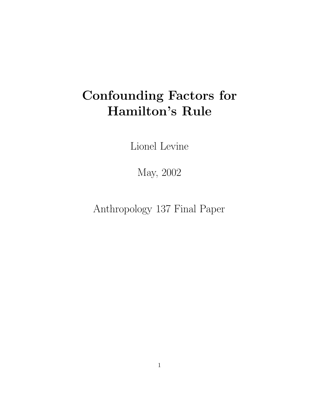# Confounding Factors for Hamilton's Rule

Lionel Levine

May, 2002

Anthropology 137 Final Paper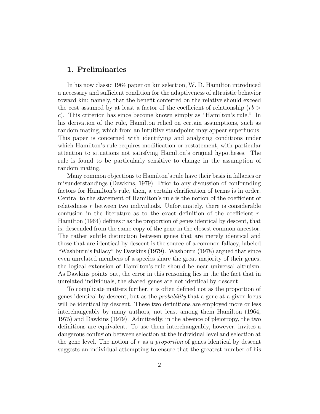## 1. Preliminaries

In his now classic 1964 paper on kin selection, W. D. Hamilton introduced a necessary and sufficient condition for the adaptiveness of altruistic behavior toward kin: namely, that the benefit conferred on the relative should exceed the cost assumed by at least a factor of the coefficient of relationship  $(rb)$ c). This criterion has since become known simply as "Hamilton's rule." In his derivation of the rule, Hamilton relied on certain assumptions, such as random mating, which from an intuitive standpoint may appear superfluous. This paper is concerned with identifying and analyzing conditions under which Hamilton's rule requires modification or restatement, with particular attention to situations not satisfying Hamilton's original hypotheses. The rule is found to be particularly sensitive to change in the assumption of random mating.

Many common objections to Hamilton's rule have their basis in fallacies or misunderstandings (Dawkins, 1979). Prior to any discussion of confounding factors for Hamilton's rule, then, a certain clarification of terms is in order. Central to the statement of Hamilton's rule is the notion of the coefficient of relatedness  $r$  between two individuals. Unfortunately, there is considerable confusion in the literature as to the exact definition of the coefficient  $r$ . Hamilton  $(1964)$  defines r as the proportion of genes identical by descent, that is, descended from the same copy of the gene in the closest common ancestor. The rather subtle distinction between genes that are merely identical and those that are identical by descent is the source of a common fallacy, labeled "Washburn's fallacy" by Dawkins (1979). Washburn (1978) argued that since even unrelated members of a species share the great majority of their genes, the logical extension of Hamilton's rule should be near universal altruism. As Dawkins points out, the error in this reasoning lies in the the fact that in unrelated individuals, the shared genes are not identical by descent.

To complicate matters further, r is often defined not as the proportion of genes identical by descent, but as the probability that a gene at a given locus will be identical by descent. These two definitions are employed more or less interchangeably by many authors, not least among them Hamilton (1964, 1975) and Dawkins (1979). Admittedly, in the absence of pleiotropy, the two definitions are equivalent. To use them interchangeably, however, invites a dangerous confusion between selection at the individual level and selection at the gene level. The notion of  $r$  as a *proportion* of genes identical by descent suggests an individual attempting to ensure that the greatest number of his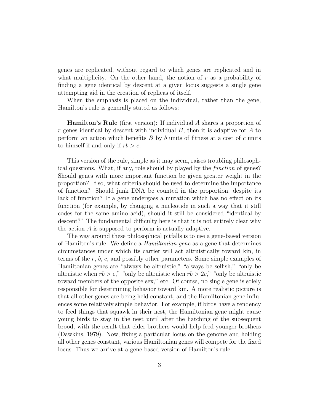genes are replicated, without regard to which genes are replicated and in what multiplicity. On the other hand, the notion of  $r$  as a probability of finding a gene identical by descent at a given locus suggests a single gene attempting aid in the creation of replicas of itself.

When the emphasis is placed on the individual, rather than the gene, Hamilton's rule is generally stated as follows:

**Hamilton's Rule** (first version): If individual  $\tilde{A}$  shares a proportion of r genes identical by descent with individual  $B$ , then it is adaptive for  $A$  to perform an action which benefits  $B$  by  $b$  units of fitness at a cost of  $c$  units to himself if and only if  $rb > c$ .

This version of the rule, simple as it may seem, raises troubling philosophical questions. What, if any, role should by played by the function of genes? Should genes with more important function be given greater weight in the proportion? If so, what criteria should be used to determine the importance of function? Should junk DNA be counted in the proportion, despite its lack of function? If a gene undergoes a mutation which has no effect on its function (for example, by changing a nucleotide in such a way that it still codes for the same amino acid), should it still be considered "identical by descent?" The fundamental difficulty here is that it is not entirely clear why the action A is supposed to perform is actually adaptive.

The way around these philosophical pitfalls is to use a gene-based version of Hamilton's rule. We define a Hamiltonian gene as a gene that determines circumstances under which its carrier will act altruistically toward kin, in terms of the r, b, c, and possibly other parameters. Some simple examples of Hamiltonian genes are "always be altruistic," "always be selfish," "only be altruistic when  $rb > c$ ," "only be altruistic when  $rb > 2c$ ," "only be altruistic toward members of the opposite sex," etc. Of course, no single gene is solely responsible for determining behavior toward kin. A more realistic picture is that all other genes are being held constant, and the Hamiltonian gene influences some relatively simple behavior. For example, if birds have a tendency to feed things that squawk in their nest, the Hamiltonian gene might cause young birds to stay in the nest until after the hatching of the subsequent brood, with the result that elder brothers would help feed younger brothers (Dawkins, 1979). Now, fixing a particular locus on the genome and holding all other genes constant, various Hamiltonian genes will compete for the fixed locus. Thus we arrive at a gene-based version of Hamilton's rule: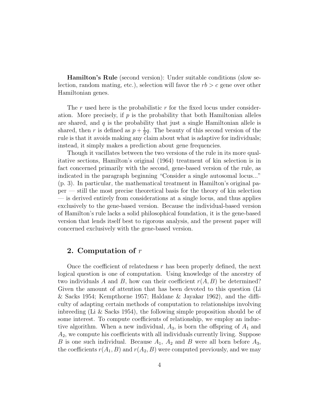Hamilton's Rule (second version): Under suitable conditions (slow selection, random mating, etc.), selection will favor the  $rb > c$  gene over other Hamiltonian genes.

The r used here is the probabilistic r for the fixed locus under consideration. More precisely, if  $p$  is the probability that both Hamiltonian alleles are shared, and  $q$  is the probability that just a single Hamiltonian allele is shared, then r is defined as  $p + \frac{1}{2}$  $\frac{1}{2}q$ . The beauty of this second version of the rule is that it avoids making any claim about what is adaptive for individuals; instead, it simply makes a prediction about gene frequencies.

Though it vacillates between the two versions of the rule in its more qualitative sections, Hamilton's original (1964) treatment of kin selection is in fact concerned primarily with the second, gene-based version of the rule, as indicated in the paragraph beginning "Consider a single autosomal locus..." (p. 3). In particular, the mathematical treatment in Hamilton's original paper — still the most precise theoretical basis for the theory of kin selection — is derived entirely from considerations at a single locus, and thus applies exclusively to the gene-based version. Because the individual-based version of Hamilton's rule lacks a solid philosophical foundation, it is the gene-based version that lends itself best to rigorous analysis, and the present paper will concerned exclusively with the gene-based version.

## 2. Computation of  $r$

Once the coefficient of relatedness  $r$  has been properly defined, the next logical question is one of computation. Using knowledge of the ancestry of two individuals A and B, how can their coefficient  $r(A, B)$  be determined? Given the amount of attention that has been devoted to this question (Li & Sacks 1954; Kempthorne 1957; Haldane & Jayakar 1962), and the difficulty of adapting certain methods of computation to relationships involving inbreeding (Li & Sacks 1954), the following simple proposition should be of some interest. To compute coefficients of relationship, we employ an inductive algorithm. When a new individual,  $A_3$ , is born the offspring of  $A_1$  and  $A<sub>2</sub>$ , we compute his coefficients with all individuals currently living. Suppose B is one such individual. Because  $A_1$ ,  $A_2$  and B were all born before  $A_3$ , the coefficients  $r(A_1, B)$  and  $r(A_2, B)$  were computed previously, and we may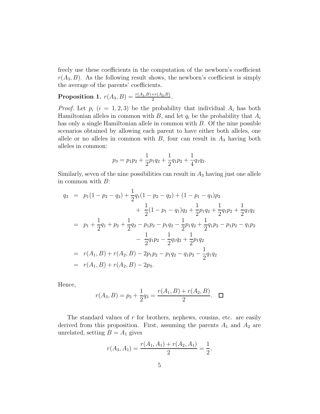freely use these coefficients in the computation of the newborn's coefficient  $r(A_3, B)$ . As the following result shows, the newborn's coefficient is simply the average of the parents' coefficients.

**Proposition 1.**  $r(A_3, B) = \frac{r(A_1, B) + r(A_2, B)}{2}$ .

*Proof.* Let  $p_i$   $(i = 1, 2, 3)$  be the probability that individual  $A_i$  has both Hamiltonian alleles in common with B, and let  $q_i$  be the probability that  $A_i$ has only a single Hamiltonian allele in common with B. Of the nine possible scenarios obtained by allowing each parent to have either both alleles, one allele or no alleles in common with  $B$ , four can result in  $A_3$  having both alleles in common:

$$
p_3 = p_1 p_2 + \frac{1}{2} p_1 q_2 + \frac{1}{2} q_1 p_2 + \frac{1}{4} q_1 q_2.
$$

Similarly, seven of the nine possibilities can result in  $A_3$  having just one allele in common with B:

$$
q_3 = p_1(1 - p_2 - q_2) + \frac{1}{2}q_1(1 - p_2 - q_2) + (1 - p_1 - q_1)p_2
$$
  
+ 
$$
\frac{1}{2}(1 - p_1 - q_1)q_2 + \frac{1}{2}p_1q_2 + \frac{1}{2}q_1p_2 + \frac{1}{2}q_1q_2
$$
  
= 
$$
p_1 + \frac{1}{2}q_1 + p_2 + \frac{1}{2}q_2 - p_1p_2 - p_1q_2 - \frac{1}{2}p_1q_2 + \frac{1}{2}q_1p_2 - p_1p_2 - q_1p_2
$$
  
- 
$$
\frac{1}{2}q_1p_2 - \frac{1}{2}q_1q_2 + \frac{1}{2}p_1q_2
$$
  
= 
$$
r(A_1, B) + r(A_2, B) - 2p_1p_2 - p_1q_2 - q_1p_2 - \frac{1}{2}q_1q_2
$$
  
= 
$$
r(A_1, B) + r(A_2, B) - 2p_3.
$$

Hence,

$$
r(A_3, B) = p_3 + \frac{1}{2}q_3 = \frac{r(A_1, B) + r(A_2, B)}{2}.
$$

The standard values of  $r$  for brothers, nephews, cousins, etc. are easily derived from this proposition. First, assuming the parents  $A_1$  and  $A_2$  are unrelated, setting  $B = A_1$  gives

$$
r(A_3, A_1) = \frac{r(A_1, A_1) + r(A_2, A_1)}{2} = \frac{1}{2},
$$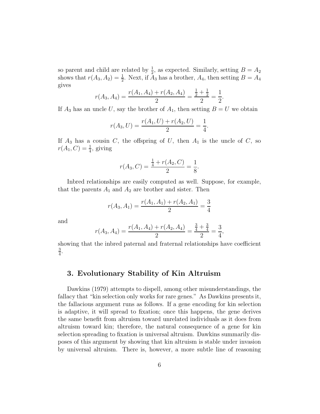so parent and child are related by  $\frac{1}{2}$ , as expected. Similarly, setting  $B = A_2$ shows that  $r(A_3, A_2) = \frac{1}{2}$ . Next, if  $\overline{A}_3$  has a brother,  $A_4$ , then setting  $B = A_4$ gives

$$
r(A_3, A_4) = \frac{r(A_1, A_4) + r(A_2, A_4)}{2} = \frac{\frac{1}{2} + \frac{1}{2}}{2} = \frac{1}{2}.
$$

If  $A_3$  has an uncle U, say the brother of  $A_1$ , then setting  $B = U$  we obtain

$$
r(A_3, U) = \frac{r(A_1, U) + r(A_2, U)}{2} = \frac{1}{4}.
$$

If  $A_3$  has a cousin C, the offspring of U, then  $A_1$  is the uncle of C, so  $r(A_1, C) = \frac{1}{4}$ , giving

$$
r(A_3, C) = \frac{\frac{1}{4} + r(A_2, C)}{2} = \frac{1}{8}.
$$

Inbred relationships are easily computed as well. Suppose, for example, that the parents  $A_1$  and  $A_2$  are brother and sister. Then

$$
r(A_3, A_1) = \frac{r(A_1, A_1) + r(A_2, A_1)}{2} = \frac{3}{4}
$$

and

$$
r(A_3, A_4) = \frac{r(A_1, A_4) + r(A_2, A_4)}{2} = \frac{\frac{3}{4} + \frac{3}{4}}{2} = \frac{3}{4},
$$

showing that the inbred paternal and fraternal relationships have coefficient 3  $\frac{3}{4}$ .

## 3. Evolutionary Stability of Kin Altruism

Dawkins (1979) attempts to dispell, among other misunderstandings, the fallacy that "kin selection only works for rare genes." As Dawkins presents it, the fallacious argument runs as follows. If a gene encoding for kin selection is adaptive, it will spread to fixation; once this happens, the gene derives the same benefit from altruism toward unrelated individuals as it does from altruism toward kin; therefore, the natural consequence of a gene for kin selection spreading to fixation is universal altruism. Dawkins summarily disposes of this argument by showing that kin altruism is stable under invasion by universal altruism. There is, however, a more subtle line of reasoning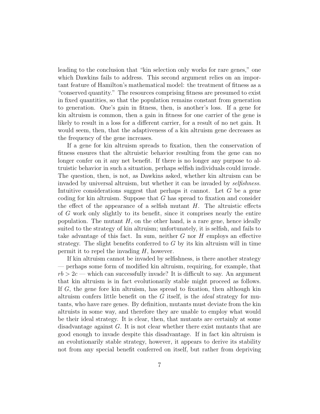leading to the conclusion that "kin selection only works for rare genes," one which Dawkins fails to address. This second argument relies on an important feature of Hamilton's mathematical model: the treatment of fitness as a "conserved quantity." The resources comprising fitness are presumed to exist in fixed quantities, so that the population remains constant from generation to generation. One's gain in fitness, then, is another's loss. If a gene for kin altruism is common, then a gain in fitness for one carrier of the gene is likely to result in a loss for a different carrier, for a result of no net gain. It would seem, then, that the adaptiveness of a kin altruism gene decreases as the frequency of the gene increases.

If a gene for kin altruism spreads to fixation, then the conservation of fitness ensures that the altruistic behavior resulting from the gene can no longer confer on it any net benefit. If there is no longer any purpose to altruistic behavior in such a situation, perhaps selfish individuals could invade. The question, then, is not, as Dawkins asked, whether kin altruism can be invaded by universal altruism, but whether it can be invaded by selfishness. Intuitive considerations suggest that perhaps it cannot. Let  $G$  be a gene coding for kin altruism. Suppose that  $G$  has spread to fixation and consider the effect of the appearance of a selfish mutant  $H$ . The altruistic effects of G work only slightly to its benefit, since it comprises nearly the entire population. The mutant  $H$ , on the other hand, is a rare gene, hence ideally suited to the strategy of kin altruism; unfortunately, it is selfish, and fails to take advantage of this fact. In sum, neither  $G$  nor  $H$  employs an effective strategy. The slight benefits conferred to  $G$  by its kin altruism will in time permit it to repel the invading  $H$ , however.

If kin altruism cannot be invaded by selfishness, is there another strategy — perhaps some form of modified kin altruism, requiring, for example, that  $rb > 2c$  — which can successfully invade? It is difficult to say. An argument that kin altruism is in fact evolutionarily stable might proceed as follows. If G, the gene fore kin altruism, has spread to fixation, then although kin altruism confers little benefit on the  $G$  itself, is the *ideal* strategy for mutants, who have rare genes. By definition, mutants must deviate from the kin altruists in some way, and therefore they are unable to employ what would be their ideal strategy. It is clear, then, that mutants are certainly at some disadvantage against G. It is not clear whether there exist mutants that are good enough to invade despite this disadvantage. If in fact kin altruism is an evolutionarily stable strategy, however, it appears to derive its stability not from any special benefit conferred on itself, but rather from depriving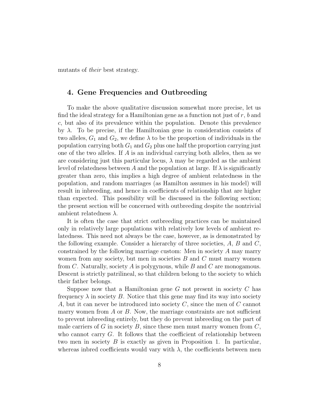mutants of their best strategy.

## 4. Gene Frequencies and Outbreeding

To make the above qualitative discussion somewhat more precise, let us find the ideal strategy for a Hamiltonian gene as a function not just of  $r$ ,  $b$  and c, but also of its prevalence within the population. Denote this prevalence by  $\lambda$ . To be precise, if the Hamiltonian gene in consideration consists of two alleles,  $G_1$  and  $G_2$ , we define  $\lambda$  to be the proportion of individuals in the population carrying both  $G_1$  and  $G_2$  plus one half the proportion carrying just one of the two alleles. If A is an individual carrying both alleles, then as we are considering just this particular locus,  $\lambda$  may be regarded as the ambient level of relatedness between A and the population at large. If  $\lambda$  is significantly greater than zero, this implies a high degree of ambient relatedness in the population, and random marriages (as Hamilton assumes in his model) will result in inbreeding, and hence in coefficients of relationship that are higher than expected. This possibility will be discussed in the following section; the present section will be concerned with outbreeding despite the nontrivial ambient relatedness  $\lambda$ .

It is often the case that strict outbreeding practices can be maintained only in relatively large populations with relatively low levels of ambient relatedness. This need not always be the case, however, as is demonstrated by the following example. Consider a hierarchy of three societies,  $A, B$  and  $C$ , constrained by the following marriage custom: Men in society A may marry women from any society, but men in societies  $B$  and  $C$  must marry women from C. Naturally, society A is polygynous, while B and C are monogamous. Descent is strictly patrilineal, so that children belong to the society to which their father belongs.

Suppose now that a Hamiltonian gene  $G$  not present in society  $C$  has frequency  $\lambda$  in society B. Notice that this gene may find its way into society A, but it can never be introduced into society  $C$ , since the men of  $C$  cannot marry women from  $A$  or  $B$ . Now, the marriage constraints are not sufficient to prevent inbreeding entirely, but they do prevent inbreeding on the part of male carriers of G in society B, since these men must marry women from  $C$ , who cannot carry  $G$ . It follows that the coefficient of relationship between two men in society B is exactly as given in Proposition 1. In particular, whereas indred coefficients would vary with  $\lambda$ , the coefficients between men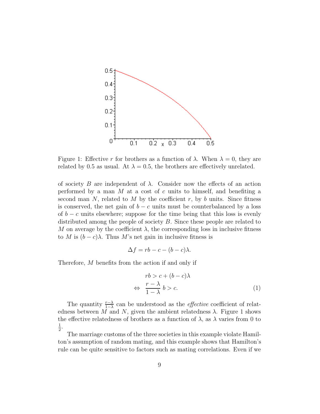

Figure 1: Effective r for brothers as a function of  $\lambda$ . When  $\lambda = 0$ , they are related by 0.5 as usual. At  $\lambda = 0.5$ , the brothers are effectively unrelated.

of society B are independent of  $\lambda$ . Consider now the effects of an action performed by a man  $M$  at a cost of  $c$  units to himself, and benefiting a second man  $N$ , related to  $M$  by the coefficient  $r$ , by  $b$  units. Since fitness is conserved, the net gain of  $b - c$  units must be counterbalanced by a loss of  $b - c$  units elsewhere; suppose for the time being that this loss is evenly distributed among the people of society B. Since these people are related to M on average by the coefficient  $\lambda$ , the corresponding loss in inclusive fitness to M is  $(b - c)\lambda$ . Thus M's net gain in inclusive fitness is

$$
\Delta f = rb - c - (b - c)\lambda.
$$

Therefore, M benefits from the action if and only if

⇔

$$
rb > c + (b - c)\lambda
$$
  
\n
$$
\Rightarrow \frac{r - \lambda}{1 - \lambda} b > c.
$$
 (1)

The quantity  $\frac{r-\lambda}{1-\lambda}$  can be understood as the *effective* coefficient of relatedness between M and N, given the ambient relatedness  $\lambda$ . Figure 1 shows the effective relatedness of brothers as a function of  $\lambda$ , as  $\lambda$  varies from 0 to 1  $\frac{1}{2}$ .

The marriage customs of the three societies in this example violate Hamilton's assumption of random mating, and this example shows that Hamilton's rule can be quite sensitive to factors such as mating correlations. Even if we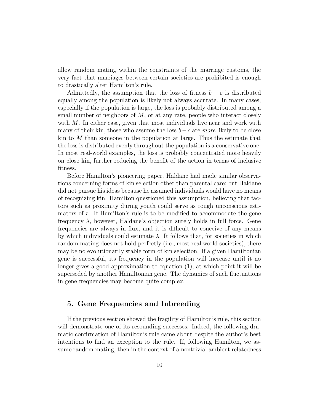allow random mating within the constraints of the marriage customs, the very fact that marriages between certain societies are prohibited is enough to drastically alter Hamilton's rule.

Admittedly, the assumption that the loss of fitness  $b - c$  is distributed equally among the population is likely not always accurate. In many cases, especially if the population is large, the loss is probably distributed among a small number of neighbors of  $M$ , or at any rate, people who interact closely with  $M$ . In either case, given that most individuals live near and work with many of their kin, those who assume the loss  $b-c$  are more likely to be close kin to  $M$  than someone in the population at large. Thus the estimate that the loss is distributed evenly throughout the population is a conservative one. In most real-world examples, the loss is probably concentrated more heavily on close kin, further reducing the benefit of the action in terms of inclusive fitness.

Before Hamilton's pioneering paper, Haldane had made similar observations concerning forms of kin selection other than parental care; but Haldane did not pursue his ideas because he assumed individuals would have no means of recognizing kin. Hamilton questioned this assumption, believing that factors such as proximity during youth could serve as rough unconscious estimators of  $r$ . If Hamilton's rule is to be modified to accommodate the gene frequency  $\lambda$ , however, Haldane's objection surely holds in full force. Gene frequencies are always in flux, and it is difficult to conceive of any means by which individuals could estimate  $\lambda$ . It follows that, for societies in which random mating does not hold perfectly (i.e., most real world societies), there may be no evolutionarily stable form of kin selection. If a given Hamiltonian gene is successful, its frequency in the population will increase until it no longer gives a good approximation to equation (1), at which point it will be superseded by another Hamiltonian gene. The dynamics of such fluctuations in gene frequencies may become quite complex.

## 5. Gene Frequencies and Inbreeding

If the previous section showed the fragility of Hamilton's rule, this section will demonstrate one of its resounding successes. Indeed, the following dramatic confirmation of Hamilton's rule came about despite the author's best intentions to find an exception to the rule. If, following Hamilton, we assume random mating, then in the context of a nontrivial ambient relatedness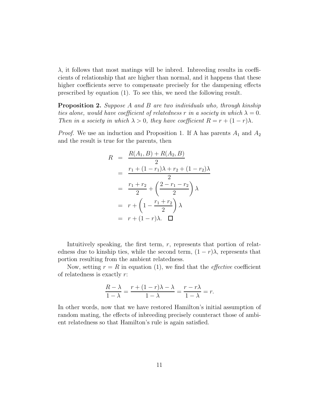$\lambda$ , it follows that most matings will be indred. Indreading results in coefficients of relationship that are higher than normal, and it happens that these higher coefficients serve to compensate precisely for the dampening effects prescribed by equation (1). To see this, we need the following result.

Proposition 2. Suppose A and B are two individuals who, through kinship ties alone, would have coefficient of relatedness r in a society in which  $\lambda = 0$ . Then in a society in which  $\lambda > 0$ , they have coefficient  $R = r + (1 - r)\lambda$ .

*Proof.* We use an induction and Proposition 1. If A has parents  $A_1$  and  $A_2$ and the result is true for the parents, then

$$
R = \frac{R(A_1, B) + R(A_2, B)}{2}
$$
  
=  $\frac{r_1 + (1 - r_1)\lambda + r_2 + (1 - r_2)\lambda}{2}$   
=  $\frac{r_1 + r_2}{2} + \left(\frac{2 - r_1 - r_2}{2}\right)\lambda$   
=  $r + \left(1 - \frac{r_1 + r_2}{2}\right)\lambda$   
=  $r + (1 - r)\lambda$ .  $\square$ 

Intuitively speaking, the first term,  $r$ , represents that portion of relatedness due to kinship ties, while the second term,  $(1 - r)\lambda$ , represents that portion resulting from the ambient relatedness.

Now, setting  $r = R$  in equation (1), we find that the *effective* coefficient of relatedness is exactly r:

$$
\frac{R-\lambda}{1-\lambda} = \frac{r+(1-r)\lambda-\lambda}{1-\lambda} = \frac{r-r\lambda}{1-\lambda} = r.
$$

In other words, now that we have restored Hamilton's initial assumption of random mating, the effects of inbreeding precisely counteract those of ambient relatedness so that Hamilton's rule is again satisfied.